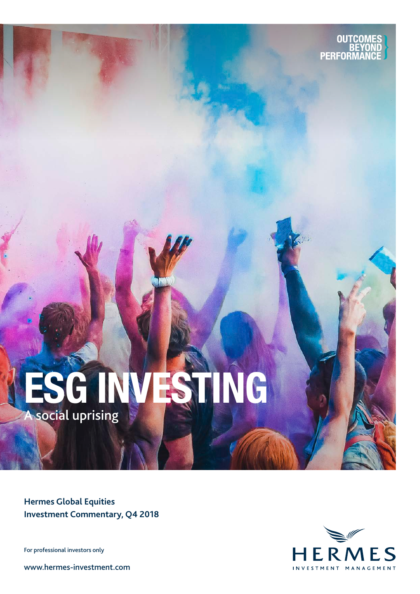

# ESG INVESTING A social uprising

**Hermes Global Equities Investment Commentary, Q4 2018**

For professional investors only

www.hermes-investment.com

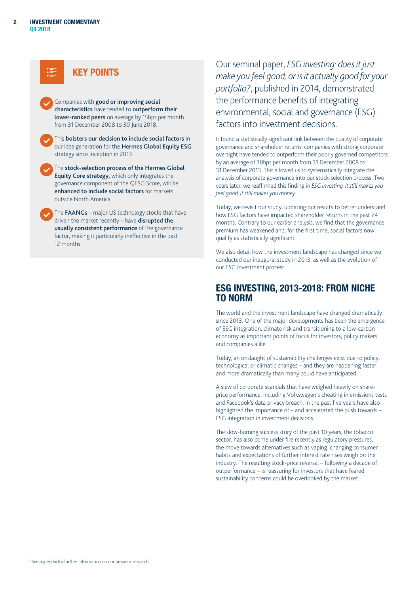

Companies with good or improving social characteristics have tended to outperform their lower-ranked peers on average by 15bps per month from 31 December 2008 to 30 June 2018.

This bolsters our decision to include social factors in our idea generation for the Hermes Global Equity ESG strategy since inception in 2013.

The stock-selection process of the Hermes Global Equity Core strategy, which only integrates the governance component of the QESG Score, will be enhanced to include social factors for markets outside North America.

The FAANGs – major US technology stocks that have driven the market recently – have disrupted the usually consistent performance of the governance factor, making it particularly ineffective in the past 12 months.

Our seminal paper, *ESG investing: does it just make you feel good, or isit actually good for your portfolio?*, published in 2014, demonstrated the performance benefits of integrating environmental, social and governance (ESG) factors into investment decisions.

It found a statistically significant link between the quality of corporate governance and shareholder returns: companies with strong corporate oversight have tended to outperform their poorly governed competitors by an average of 30bps per month from 31 December 2008 to 31 December 2013. This allowed us to systematically integrate the analysis of corporate governance into our stock-selection process. Two years later, we reaffirmed this finding in *ESG investing: it still makes you feel good, it still makes you money*<sup>1</sup> .

Today, we revisit our study, updating our results to better understand how ESG factors have impacted shareholder returns in the past 24 months. Contrary to our earlier analysis, we find that the governance premium has weakened and, for the first time, social factors now qualify as statistically significant.

We also detail how the investment landscape has changed since we conducted our inaugural study in 2013, as well as the evolution of our ESG investment process.

## ESG INVESTING, 2013-2018: FROM NICHE TO NORM

The world and the investment landscape have changed dramatically since 2013. One of the major developments has been the emergence of ESG integration, climate risk and transitioning to a low-carbon economy as important points of focus for investors, policy makers and companies alike.

Today, an onslaught of sustainability challenges exist due to policy, technological or climatic changes – and they are happening faster and more dramatically than many could have anticipated.

A slew of corporate scandals that have weighed heavily on shareprice performance, including Volkswagen's cheating in emissions tests and Facebook's data privacy breach, in the past five years have also highlighted the importance of – and accelerated the push towards – ESG integration in investment decisions.

The slow-burning success story of the past 10 years, the tobacco sector, has also come under fire recently as regulatory pressures, the move towards alternatives such as vaping, changing consumer habits and expectations of further interest rate rises weigh on the industry. The resulting stock-price reversal – following a decade of outperformance – is reassuring for investors that have feared sustainability concerns could be overlooked by the market.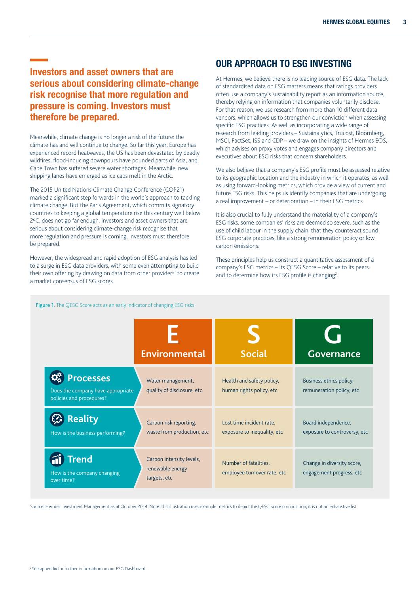## Investors and asset owners that are serious about considering climate-change risk recognise that more regulation and pressure is coming. Investors must therefore be prepared.

Meanwhile, climate change is no longer a risk of the future: the climate has and will continue to change. So far this year, Europe has experienced record heatwaves, the US has been devastated by deadly wildfires, flood-inducing downpours have pounded parts of Asia, and Cape Town has suffered severe water shortages. Meanwhile, new shipping lanes have emerged as ice caps melt in the Arctic.

The 2015 United Nations Climate Change Conference (COP21) marked a significant step forwards in the world's approach to tackling climate change. But the Paris Agreement, which commits signatory countries to keeping a global temperature rise this century well below 2ºC, does not go far enough. Investors and asset owners that are serious about considering climate-change risk recognise that more regulation and pressure is coming. Investors must therefore be prepared.

However, the widespread and rapid adoption of ESG analysis has led to a surge in ESG data providers, with some even attempting to build their own offering by drawing on data from other providers' to create a market consensus of ESG scores.

## OUR APPROACH TO ESG INVESTING

At Hermes, we believe there is no leading source of ESG data. The lack of standardised data on ESG matters means that ratings providers often use a company's sustainability report as an information source, thereby relying on information that companies voluntarily disclose. For that reason, we use research from more than 10 different data vendors, which allows us to strengthen our conviction when assessing specific ESG practices. As well as incorporating a wide range of research from leading providers – Sustainalytics, Trucost, Bloomberg, MSCI, FactSet, ISS and CDP – we draw on the insights of Hermes EOS, which advises on proxy votes and engages company directors and executives about ESG risks that concern shareholders.

We also believe that a company's ESG profile must be assessed relative to its geographic location and the industry in which it operates, as well as using forward-looking metrics, which provide a view of current and future ESG risks. This helps us identify companies that are undergoing a real improvement – or deterioration – in their ESG metrics.

It is also crucial to fully understand the materiality of a company's ESG risks: some companies' risks are deemed so severe, such as the use of child labour in the supply chain, that they counteract sound ESG corporate practices, like a strong remuneration policy or low carbon emissions.

These principles help us construct a quantitative assessment of a company's ESG metrics – its QESG Score – relative to its peers and to determine how its ESG profile is changing<sup>2</sup>.

|                                                                                   | <b>Environmental</b>                                         | <b>Social</b>                                           | <b>Governance</b>                                      |
|-----------------------------------------------------------------------------------|--------------------------------------------------------------|---------------------------------------------------------|--------------------------------------------------------|
| <b>Processes</b><br>Does the company have appropriate<br>policies and procedures? | Water management,<br>quality of disclosure, etc              | Health and safety policy,<br>human rights policy, etc   | Business ethics policy,<br>remuneration policy, etc    |
| <b>Reality</b><br>How is the business performing?                                 | Carbon risk reporting,<br>waste from production, etc         | Lost time incident rate,<br>exposure to inequality, etc | Board independence,<br>exposure to controversy, etc    |
| <b>Trend</b><br>How is the company changing<br>over time?                         | Carbon intensity levels,<br>renewable energy<br>targets, etc | Number of fatalities,<br>employee turnover rate, etc    | Change in diversity score,<br>engagement progress, etc |

Source: Hermes Investment Management as at October 2018. Note: this illustration uses example metrics to depict the QESG Score composition, it is not an exhaustive list.

#### Figure 1. The QESG Score acts as an early indicator of changing ESG risks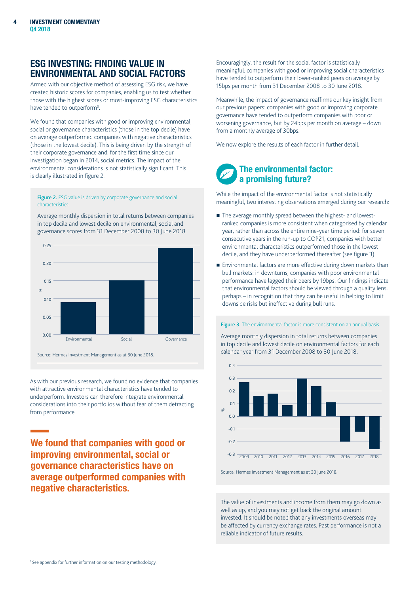## ESG INVESTING: FINDING VALUE IN ENVIRONMENTAL AND SOCIAL FACTORS

Armed with our objective method of assessing ESG risk, we have created historic scores for companies, enabling us to test whether those with the highest scores or most-improving ESG characteristics have tended to outperform<sup>3</sup>.

We found that companies with good or improving environmental, social or governance characteristics (those in the top decile) have on average outperformed companies with negative characteristics (those in the lowest decile). This is being driven by the strength of their corporate governance and, for the first time since our investigation began in 2014, social metrics. The impact of the environmental considerations is not statistically significant. This is clearly illustrated in figure 2.

Figure 2. ESG value is driven by corporate governance and social characteristics

Average monthly dispersion in total returns between companies in top decile and lowest decile on environmental, social and governance scores from 31 December 2008 to 30 June 2018.



As with our previous research, we found no evidence that companies with attractive environmental characteristics have tended to underperform. Investors can therefore integrate environmental considerations into their portfolios without fear of them detracting from performance.

We found that companies with good or improving environmental, social or governance characteristics have on average outperformed companies with negative characteristics.

Encouragingly, the result for the social factor is statistically meaningful: companies with good or improving social characteristics have tended to outperform their lower-ranked peers on average by 15bps per month from 31 December 2008 to 30 June 2018.

Meanwhile, the impact of governance reaffirms our key insight from our previous papers: companies with good or improving corporate governance have tended to outperform companies with poor or worsening governance, but by 24bps per month on average – down from a monthly average of 30bps.

We now explore the results of each factor in further detail.

## The environmental factor: a promising future?

While the impact of the environmental factor is not statistically meaningful, two interesting observations emerged during our research:

- The average monthly spread between the highest- and lowestranked companies is more consistent when categorised by calendar year, rather than across the entire nine-year time period: for seven consecutive years in the run-up to COP21, companies with better environmental characteristics outperformed those in the lowest decile, and they have underperformed thereafter (see figure 3).
- **Environmental factors are more effective during down markets than** bull markets: in downturns, companies with poor environmental performance have lagged their peers by 19bps. Our findings indicate that environmental factors should be viewed through a quality lens, perhaps – in recognition that they can be useful in helping to limit downside risks but ineffective during bull runs.

#### Figure 3. The environmental factor is more consistent on an annual basis

Average monthly dispersion in total returns between companies in top decile and lowest decile on environmental factors for each calendar year from 31 December 2008 to 30 June 2018.



Source: Hermes Investment Management as at 30 June 2018.

The value of investments and income from them may go down as well as up, and you may not get back the original amount invested. It should be noted that any investments overseas may be affected by currency exchange rates. Past performance is not a reliable indicator of future results.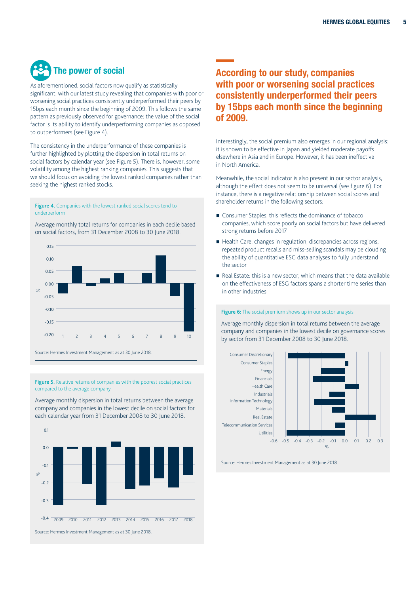## The power of social

As aforementioned, social factors now qualify as statistically significant, with our latest study revealing that companies with poor or worsening social practices consistently underperformed their peers by 15bps each month since the beginning of 2009. This follows the same pattern as previously observed for governance: the value of the social factor is its ability to identify underperforming companies as opposed to outperformers (see Figure 4).

The consistency in the underperformance of these companies is further highlighted by plotting the dispersion in total returns on social factors by calendar year (see Figure 5). There is, however, some volatility among the highest ranking companies. This suggests that we should focus on avoiding the lowest ranked companies rather than seeking the highest ranked stocks.

#### Figure 4. Companies with the lowest ranked social scores tend to underperform

Average monthly total returns for companies in each decile based on social factors, from 31 December 2008 to 30 June 2018.



Figure 5. Relative returns of companies with the poorest social practices compared to the average company

Average monthly dispersion in total returns between the average company and companies in the lowest decile on social factors for each calendar year from 31 December 2008 to 30 June 2018.



## According to our study, companies with poor or worsening social practices consistently underperformed their peers by 15bps each month since the beginning of 2009.

Interestingly, the social premium also emerges in our regional analysis: it is shown to be effective in Japan and yielded moderate payoffs elsewhere in Asia and in Europe. However, it has been ineffective in North America.

Meanwhile, the social indicator is also present in our sector analysis, although the effect does not seem to be universal (see figure 6). For instance, there is a negative relationship between social scores and shareholder returns in the following sectors:

- Consumer Staples: this reflects the dominance of tobacco companies, which score poorly on social factors but have delivered strong returns before 2017
- Health Care: changes in regulation, discrepancies across regions, repeated product recalls and miss-selling scandals may be clouding the ability of quantitative ESG data analyses to fully understand the sector
- Real Estate: this is a new sector, which means that the data available on the effectiveness of ESG factors spans a shorter time series than in other industries

#### Figure 6: The social premium shows up in our sector analysis

Average monthly dispersion in total returns between the average company and companies in the lowest decile on governance scores by sector from 31 December 2008 to 30 June 2018.



Source: Hermes Investment Management as at 30 June 2018.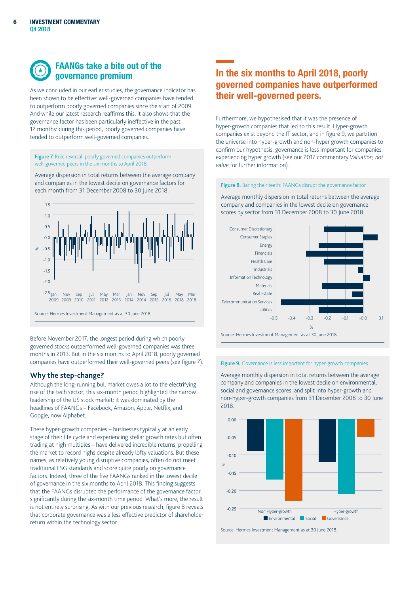

## FAANGs take a bite out of the governance premium

As we concluded in our earlier studies, the governance indicator has been shown to be effective: well-governed companies have tended to outperform poorly governed companies since the start of 2009. And while our latest research reaffirms this, it also shows that the governance factor has been particularly ineffective in the past 12 months: during this period, poorly governed companies have tended to outperform well-governed companies.

Figure 7. Role reversal: poorly governed companies outperform well-governed peers in the six months to April 2018

Average dispersion in total returns between the average company and companies in the lowest decile on governance factors for each month from 31 December 2008 to 30 June 2018.



Before November 2017, the longest period during which poorly governed stocks outperformed well-governed companies was three months in 2013. But in the six months to April 2018, poorly governed companies have outperformed their well-governed peers (see figure 7).

#### **Why the step-change?**

Although the long-running bull market owes a lot to the electrifying rise of the tech sector, this six-month period highlighted the narrow leadership of the US stock market: it was dominated by the headlines of FAANGs – Facebook, Amazon, Apple, Netflix, and Google, now Alphabet.

These hyper-growth companies – businesses typically at an early stage of their life cycle and experiencing stellar growth rates but often trading at high multiples – have delivered incredible returns, propelling the market to record highs despite already lofty valuations. But these names, as relatively young disruptive companies, often do not meet traditional ESG standards and score quite poorly on governance factors. Indeed, three of the five FAANGs ranked in the lowest decile of governance in the six months to April 2018. This finding suggests that the FAANGs disrupted the performance of the governance factor significantly during the six-month time period. What's more, the result is not entirely surprising. As with our previous research, figure 8 reveals that corporate governance was a less effective predictor of shareholder return within the technology sector.

## In the six months to April 2018, poorly governed companies have outperformed their well-governed peers.

Furthermore, we hypothesised that it was the presence of hyper-growth companies that led to this result. Hyper-growth companies exist beyond the IT sector, and in figure 9, we partition the universe into hyper-growth and non-hyper growth companies to confirm our hypothesis: governance is less important for companies experiencing hyper growth (see our 2017 commentary *Valuation, not value* for further information).

#### Figure 8. Baring their teeth: FAANGs disrupt the governance factor

Average monthly dispersion in total returns between the average company and companies in the lowest decile on governance scores by sector from 31 December 2008 to 30 June 2018.



#### Figure 9. Governance is less important for hyper-growth companies

Average monthly dispersion in total returns between the average company and companies in the lowest decile on environmental, social and governance scores, and split into hyper-growth and non-hyper-growth companies from 31 December 2008 to 30 June 2018.



Source: Hermes Investment Management as at 30 June 2018.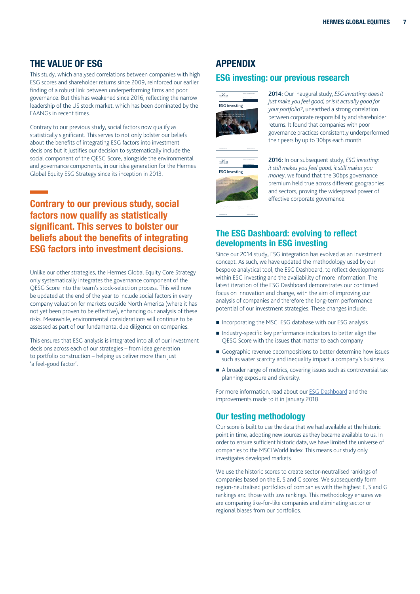## THE VALUE OF ESG

This study, which analysed correlations between companies with high ESG scores and shareholder returns since 2009, reinforced our earlier finding of a robust link between underperforming firms and poor governance. But this has weakened since 2016, reflecting the narrow leadership of the US stock market, which has been dominated by the FAANGs in recent times.

Contrary to our previous study, social factors now qualify as statistically significant. This serves to not only bolster our beliefs about the benefits of integrating ESG factors into investment decisions but it justifies our decision to systematically include the social component of the QESG Score, alongside the environmental and governance components, in our idea generation for the Hermes Global Equity ESG Strategy since its inception in 2013.

## Contrary to our previous study, social factors now qualify as statistically significant. This serves to bolster our beliefs about the benefits of integrating ESG factors into investment decisions.

Unlike our other strategies, the Hermes Global Equity Core Strategy only systematically integrates the governance component of the QESG Score into the team's stock-selection process. This will now be updated at the end of the year to include social factors in every company valuation for markets outside North America (where it has not yet been proven to be effective), enhancing our analysis of these risks. Meanwhile, environmental considerations will continue to be assessed as part of our fundamental due diligence on companies.

This ensures that ESG analysis is integrated into all of our investment decisions across each of our strategies – from idea generation to portfolio construction – helping us deliver more than just 'a feel-good factor'.

## APPENDIX

## ESG investing: our previous research



2014: Our inaugural study, *ESG investing: does it just make you feel good, or is it actually good for your portfolio?*, unearthed a strong correlation between corporate responsibility and shareholder returns. It found that companies with poor governance practices consistently underperformed their peers by up to 30bps each month.



2016: In our subsequent study, *ESG investing: it still makes you feel good, it still makes you money*, we found that the 30bps governance premium held true across different geographies and sectors, proving the widespread power of effective corporate governance.

## The ESG Dashboard: evolving to reflect developments in ESG investing

Since our 2014 study, ESG integration has evolved as an investment concept. As such, we have updated the methodology used by our bespoke analytical tool, the ESG Dashboard, to reflect developments within ESG investing and the availability of more information. The latest iteration of the ESG Dashboard demonstrates our continued focus on innovation and change, with the aim of improving our analysis of companies and therefore the long-term performance potential of our investment strategies. These changes include:

- Incorporating the MSCI ESG database with our ESG analysis
- Industry-specific key performance indicators to better align the QESG Score with the issues that matter to each company
- Geographic revenue decompositions to better determine how issues such as water scarcity and inequality impact a company's business
- A broader range of metrics, covering issues such as controversial tax planning exposure and diversity.

For more information, read about our ESG Dashboard and the improvements made to it in January 2018.

## Our testing methodology

Our score is built to use the data that we had available at the historic point in time, adopting new sources as they became available to us. In order to ensure sufficient historic data, we have limited the universe of companies to the MSCI World Index. This means our study only investigates developed markets.

We use the historic scores to create sector-neutralised rankings of companies based on the E, S and G scores. We subsequently form region-neutralised portfolios of companies with the highest E, S and G rankings and those with low rankings. This methodology ensures we are comparing like-for-like companies and eliminating sector or regional biases from our portfolios.